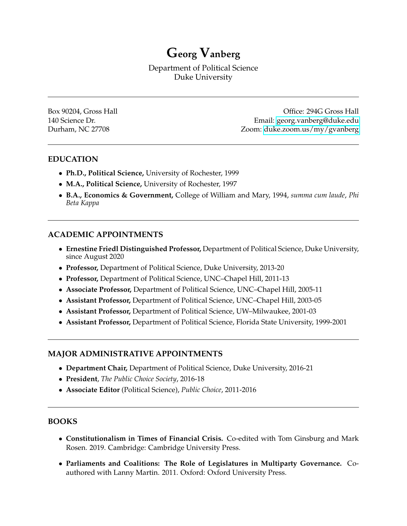**Georg Vanberg**

Department of Political Science Duke University

Box 90204, Gross Hall **Box 90204, Gross Hall Community Community Community Community Community Community Community Community Community Community Community Community Community Community Communi** 140 Science Dr. Email: [georg.vanberg@duke.edu](mailto:georg.vanberg@duke.edu) Durham, NC 27708 Zoom: [duke.zoom.us/my/gvanberg](https://duke.zoom.us/my/gvanberg)

## **EDUCATION**

- **Ph.D., Political Science,** University of Rochester, 1999
- **M.A., Political Science,** University of Rochester, 1997
- **B.A., Economics & Government,** College of William and Mary, 1994, *summa cum laude*, *Phi Beta Kappa*

## **ACADEMIC APPOINTMENTS**

- **Ernestine Friedl Distinguished Professor,** Department of Political Science, Duke University, since August 2020
- **Professor,** Department of Political Science, Duke University, 2013-20
- **Professor,** Department of Political Science, UNC–Chapel Hill, 2011-13
- **Associate Professor,** Department of Political Science, UNC–Chapel Hill, 2005-11
- **Assistant Professor,** Department of Political Science, UNC–Chapel Hill, 2003-05
- **Assistant Professor,** Department of Political Science, UW–Milwaukee, 2001-03
- **Assistant Professor,** Department of Political Science, Florida State University, 1999-2001

#### **MAJOR ADMINISTRATIVE APPOINTMENTS**

- **Department Chair,** Department of Political Science, Duke University, 2016-21
- **President**, *The Public Choice Society*, 2016-18
- **Associate Editor** (Political Science), *Public Choice*, 2011-2016

#### **BOOKS**

- **Constitutionalism in Times of Financial Crisis.** Co-edited with Tom Ginsburg and Mark Rosen. 2019. Cambridge: Cambridge University Press.
- **Parliaments and Coalitions: The Role of Legislatures in Multiparty Governance.** Coauthored with Lanny Martin. 2011. Oxford: Oxford University Press.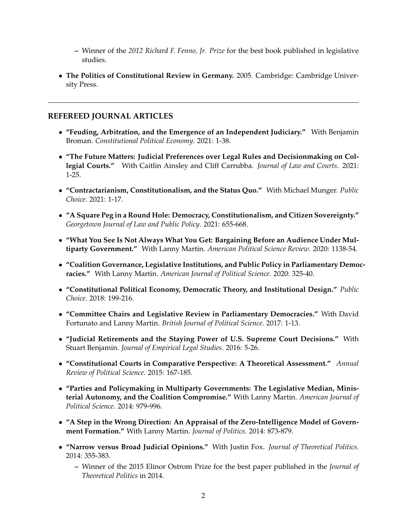- **–** Winner of the *2012 Richard F. Fenno, Jr. Prize* for the best book published in legislative studies.
- **The Politics of Constitutional Review in Germany.** 2005. Cambridge: Cambridge University Press.

#### **REFEREED JOURNAL ARTICLES**

- **"Feuding, Arbitration, and the Emergence of an Independent Judiciary."** With Benjamin Broman. *Constitutional Political Economy*. 2021: 1-38.
- **"The Future Matters: Judicial Preferences over Legal Rules and Decisionmaking on Collegial Courts."** With Caitlin Ainsley and Cliff Carrubba. *Journal of Law and Courts*. 2021: 1-25.
- **"Contractarianism, Constitutionalism, and the Status Quo."** With Michael Munger. *Public Choice*. 2021: 1-17.
- **"A Square Peg in a Round Hole: Democracy, Constitutionalism, and Citizen Sovereignty."** *Georgetown Journal of Law and Public Policy*. 2021: 655-668.
- **"What You See Is Not Always What You Get: Bargaining Before an Audience Under Multiparty Government."** With Lanny Martin. *American Political Science Review*. 2020: 1138-54.
- **"Coalition Governance, Legislative Institutions, and Public Policy in Parliamentary Democracies."** With Lanny Martin. *American Journal of Political Science*. 2020: 325-40.
- **"Constitutional Political Economy, Democratic Theory, and Institutional Design."** *Public Choice*. 2018: 199-216.
- **"Committee Chairs and Legislative Review in Parliamentary Democracies."** With David Fortunato and Lanny Martin. *British Journal of Political Science*. 2017: 1-13.
- **"Judicial Retirements and the Staying Power of U.S. Supreme Court Decisions."** With Stuart Benjamin. *Journal of Empirical Legal Studies*. 2016: 5-26.
- **"Constitutional Courts in Comparative Perspective: A Theoretical Assessment."** *Annual Review of Political Science.* 2015: 167-185.
- **"Parties and Policymaking in Multiparty Governments: The Legislative Median, Ministerial Autonomy, and the Coalition Compromise."** With Lanny Martin. *American Journal of Political Science*. 2014: 979-996.
- **"A Step in the Wrong Direction: An Appraisal of the Zero-Intelligence Model of Government Formation."** With Lanny Martin. *Journal of Politics*. 2014: 873-879.
- **"Narrow versus Broad Judicial Opinions."** With Justin Fox. *Journal of Theoretical Politics*. 2014: 355-383.
	- **–** Winner of the 2015 Elinor Ostrom Prize for the best paper published in the *Journal of Theoretical Politics* in 2014.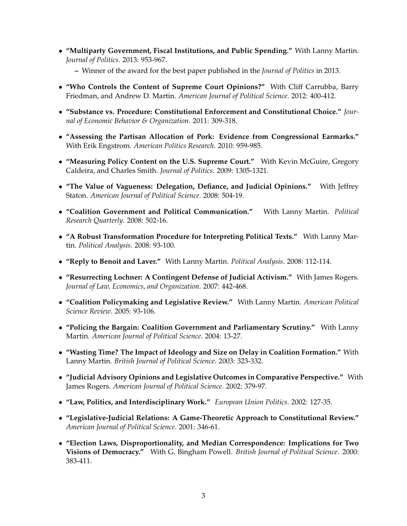- **"Multiparty Government, Fiscal Institutions, and Public Spending."** With Lanny Martin. *Journal of Politics*. 2013: 953-967.
	- **–** Winner of the award for the best paper published in the *Journal of Politics* in 2013.
- **"Who Controls the Content of Supreme Court Opinions?"** With Cliff Carrubba, Barry Friedman, and Andrew D. Martin. *American Journal of Political Science*. 2012: 400-412.
- **"Substance vs. Procedure: Constitutional Enforcement and Constitutional Choice."** *Journal of Economic Behavior & Organization*. 2011: 309-318.
- **"Assessing the Partisan Allocation of Pork: Evidence from Congressional Earmarks."** With Erik Engstrom. *American Politics Research*. 2010: 959-985.
- **"Measuring Policy Content on the U.S. Supreme Court."** With Kevin McGuire, Gregory Caldeira, and Charles Smith. *Journal of Politics*. 2009: 1305-1321.
- **"The Value of Vagueness: Delegation, Defiance, and Judicial Opinions."** With Jeffrey Staton. *American Journal of Political Science*. 2008: 504-19.
- **"Coalition Government and Political Communication."** With Lanny Martin. *Political Research Quarterly*. 2008: 502-16.
- **"A Robust Transformation Procedure for Interpreting Political Texts."** With Lanny Martin. *Political Analysis*. 2008: 93-100.
- **"Reply to Benoit and Laver."** With Lanny Martin. *Political Analysis*. 2008: 112-114.
- **"Resurrecting Lochner: A Contingent Defense of Judicial Activism."** With James Rogers. *Journal of Law, Economics, and Organization*. 2007: 442-468.
- **"Coalition Policymaking and Legislative Review."** With Lanny Martin. *American Political Science Review*. 2005: 93-106.
- **"Policing the Bargain: Coalition Government and Parliamentary Scrutiny."** With Lanny Martin. *American Journal of Political Science*. 2004: 13-27.
- **"Wasting Time? The Impact of Ideology and Size on Delay in Coalition Formation."** With Lanny Martin. *British Journal of Political Science*. 2003: 323-332.
- **"Judicial Advisory Opinions and Legislative Outcomes in Comparative Perspective."** With James Rogers. *American Journal of Political Science*. 2002: 379-97.
- **"Law, Politics, and Interdisciplinary Work."** *European Union Politics*. 2002: 127-35.
- **"Legislative-Judicial Relations: A Game-Theoretic Approach to Constitutional Review."** *American Journal of Political Science*. 2001: 346-61.
- **"Election Laws, Disproportionality, and Median Correspondence: Implications for Two Visions of Democracy."** With G. Bingham Powell. *British Journal of Political Science*. 2000: 383-411.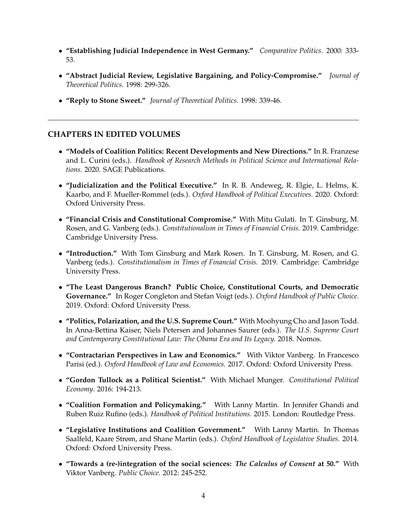- **"Establishing Judicial Independence in West Germany."** *Comparative Politics*. 2000: 333- 53.
- **"Abstract Judicial Review, Legislative Bargaining, and Policy-Compromise."** *Journal of Theoretical Politics*. 1998: 299-326.
- **"Reply to Stone Sweet."** *Journal of Theoretical Politics*. 1998: 339-46.

## **CHAPTERS IN EDITED VOLUMES**

- **"Models of Coalition Politics: Recent Developments and New Directions."** In R. Franzese and L. Curini (eds.). *Handbook of Research Methods in Political Science and International Relations.* 2020. SAGE Publications.
- **"Judicialization and the Political Executive."** In R. B. Andeweg, R. Elgie, L. Helms, K. Kaarbo, and F. Mueller-Rommel (eds.). *Oxford Handbook of Political Executives.* 2020. Oxford: Oxford University Press.
- **"Financial Crisis and Constitutional Compromise."** With Mitu Gulati. In T. Ginsburg, M. Rosen, and G. Vanberg (eds.). *Constitutionalism in Times of Financial Crisis.* 2019. Cambridge: Cambridge University Press.
- **"Introduction."** With Tom Ginsburg and Mark Rosen. In T. Ginsburg, M. Rosen, and G. Vanberg (eds.). *Constitutionalism in Times of Financial Crisis.* 2019. Cambridge: Cambridge University Press.
- **"The Least Dangerous Branch? Public Choice, Constitutional Courts, and Democratic Governance."** In Roger Congleton and Stefan Voigt (eds.). *Oxford Handbook of Public Choice.* 2019. Oxford: Oxford University Press.
- **"Politics, Polarization, and the U.S. Supreme Court."** With Moohyung Cho and Jason Todd. In Anna-Bettina Kaiser, Niels Petersen and Johannes Saurer (eds.). *The U.S. Supreme Court and Contemporary Constitutional Law: The Obama Era and Its Legacy.* 2018. Nomos.
- **"Contractarian Perspectives in Law and Economics."** With Viktor Vanberg. In Francesco Parisi (ed.). *Oxford Handbook of Law and Economics.* 2017. Oxford: Oxford University Press.
- **"Gordon Tullock as a Political Scientist."** With Michael Munger. *Constitutional Political Economy*. 2016: 194-213.
- **"Coalition Formation and Policymaking."** With Lanny Martin. In Jennifer Ghandi and Ruben Ruiz Rufino (eds.). *Handbook of Political Institutions.* 2015. London: Routledge Press.
- **"Legislative Institutions and Coalition Government."** With Lanny Martin. In Thomas Saalfeld, Kaare Strøm, and Shane Martin (eds.). *Oxford Handbook of Legislative Studies.* 2014. Oxford: Oxford University Press.
- **"Towards a (re-)integration of the social sciences:** *The Calculus of Consent* **at 50."** With Viktor Vanberg. *Public Choice.* 2012: 245-252.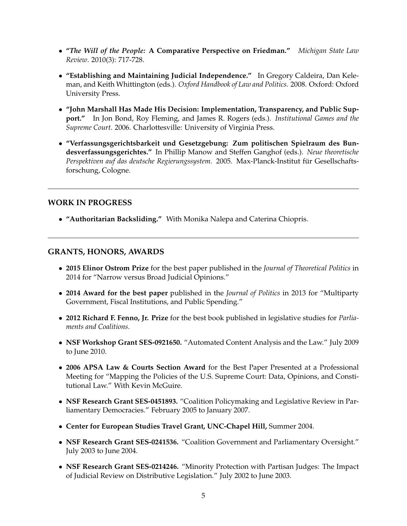- **"***The Will of the People:* **A Comparative Perspective on Friedman."** *Michigan State Law Review*. 2010(3): 717-728.
- **"Establishing and Maintaining Judicial Independence."** In Gregory Caldeira, Dan Keleman, and Keith Whittington (eds.). *Oxford Handbook of Law and Politics.* 2008. Oxford: Oxford University Press.
- **"John Marshall Has Made His Decision: Implementation, Transparency, and Public Support."** In Jon Bond, Roy Fleming, and James R. Rogers (eds.). *Institutional Games and the Supreme Court*. 2006. Charlottesville: University of Virginia Press.
- **"Verfassungsgerichtsbarkeit und Gesetzgebung: Zum politischen Spielraum des Bundesverfassungsgerichtes."** In Phillip Manow and Steffen Ganghof (eds.). *Neue theoretische Perspektiven auf das deutsche Regierungssystem*. 2005. Max-Planck-Institut fur Gesellschafts- ¨ forschung, Cologne.

## **WORK IN PROGRESS**

• **"Authoritarian Backsliding."** With Monika Nalepa and Caterina Chiopris.

## **GRANTS, HONORS, AWARDS**

- **2015 Elinor Ostrom Prize** for the best paper published in the *Journal of Theoretical Politics* in 2014 for "Narrow versus Broad Judicial Opinions."
- **2014 Award for the best paper** published in the *Journal of Politics* in 2013 for "Multiparty Government, Fiscal Institutions, and Public Spending."
- **2012 Richard F. Fenno, Jr. Prize** for the best book published in legislative studies for *Parliaments and Coalitions*.
- **NSF Workshop Grant SES-0921650.** "Automated Content Analysis and the Law." July 2009 to June 2010.
- **2006 APSA Law & Courts Section Award** for the Best Paper Presented at a Professional Meeting for "Mapping the Policies of the U.S. Supreme Court: Data, Opinions, and Constitutional Law." With Kevin McGuire.
- **NSF Research Grant SES-0451893.** "Coalition Policymaking and Legislative Review in Parliamentary Democracies." February 2005 to January 2007.
- **Center for European Studies Travel Grant, UNC-Chapel Hill,** Summer 2004.
- **NSF Research Grant SES-0241536.** "Coalition Government and Parliamentary Oversight." July 2003 to June 2004.
- **NSF Research Grant SES-0214246.** "Minority Protection with Partisan Judges: The Impact of Judicial Review on Distributive Legislation." July 2002 to June 2003.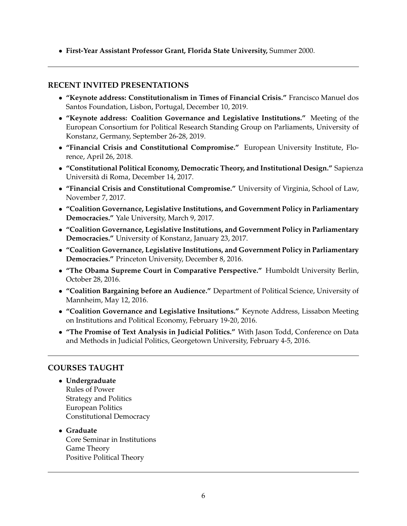• **First-Year Assistant Professor Grant, Florida State University,** Summer 2000.

# **RECENT INVITED PRESENTATIONS**

- **"Keynote address: Constitutionalism in Times of Financial Crisis."** Francisco Manuel dos Santos Foundation, Lisbon, Portugal, December 10, 2019.
- **"Keynote address: Coalition Governance and Legislative Institutions."** Meeting of the European Consortium for Political Research Standing Group on Parliaments, University of Konstanz, Germany, September 26-28, 2019.
- **"Financial Crisis and Constitutional Compromise."** European University Institute, Florence, April 26, 2018.
- **"Constitutional Political Economy, Democratic Theory, and Institutional Design."** Sapienza Universita di Roma, December 14, 2017. `
- **"Financial Crisis and Constitutional Compromise."** University of Virginia, School of Law, November 7, 2017.
- **"Coalition Governance, Legislative Institutions, and Government Policy in Parliamentary Democracies."** Yale University, March 9, 2017.
- **"Coalition Governance, Legislative Institutions, and Government Policy in Parliamentary Democracies."** University of Konstanz, January 23, 2017.
- **"Coalition Governance, Legislative Institutions, and Government Policy in Parliamentary Democracies."** Princeton University, December 8, 2016.
- **"The Obama Supreme Court in Comparative Perspective."** Humboldt University Berlin, October 28, 2016.
- **"Coalition Bargaining before an Audience."** Department of Political Science, University of Mannheim, May 12, 2016.
- **"Coalition Governance and Legislative Insitutions."** Keynote Address, Lissabon Meeting on Institutions and Political Economy, February 19-20, 2016.
- **"The Promise of Text Analysis in Judicial Politics."** With Jason Todd, Conference on Data and Methods in Judicial Politics, Georgetown University, February 4-5, 2016.

## **COURSES TAUGHT**

• **Undergraduate** Rules of Power Strategy and Politics European Politics Constitutional Democracy

• **Graduate** Core Seminar in Institutions Game Theory Positive Political Theory